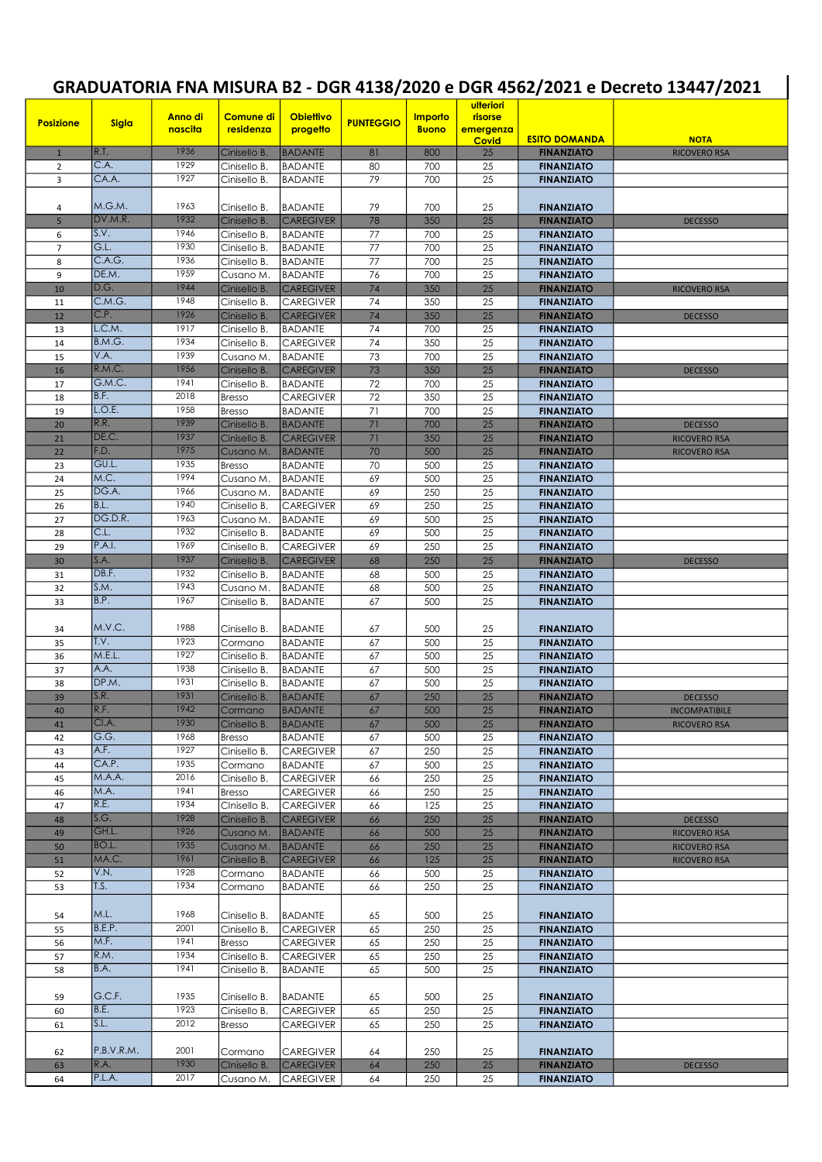## GRADUATORIA FNA MISURA B2 - DGR 4138/2020 e DGR 4562/2021 e Decreto 13447/2021

| GRADUATORIA FNA MISURA B2 - DGR 4138/2020 e DGR 4562/2021 e Decreto 13447/2021 |                |                    |                                |                                    |                  |                         |                                   |                                        |                                             |
|--------------------------------------------------------------------------------|----------------|--------------------|--------------------------------|------------------------------------|------------------|-------------------------|-----------------------------------|----------------------------------------|---------------------------------------------|
| <b>Posizione</b>                                                               | <b>Sigla</b>   | Anno di<br>nascita | <b>Comune di</b><br>residenza  | <b>Obiettivo</b><br>progetto       | <b>PUNTEGGIO</b> | Importo<br><b>Buono</b> | ulteriori<br>risorse<br>emergenza | <b>ESITO DOMANDA</b>                   |                                             |
| $\mathbf{1}$                                                                   | R.T.           | 1936               | Cinisello B.                   | <b>BADANTE</b>                     | 81               | 800                     | <b>Covid</b><br>25                | <b>FINANZIATO</b>                      | <b>NOTA</b><br><b>RICOVERO RSA</b>          |
| $\overline{2}$                                                                 | C.A.           | 1929               | Cinisello B.                   | <b>BADANTE</b>                     | 80               | 700                     | 25                                | <b>FINANZIATO</b>                      |                                             |
| 3                                                                              | CA.A.          | 1927               | Cinisello B.                   | <b>BADANTE</b>                     | 79               | 700                     | 25                                | <b>FINANZIATO</b>                      |                                             |
|                                                                                |                |                    |                                |                                    |                  |                         |                                   |                                        |                                             |
| 4                                                                              | M.G.M.         | 1963               | Cinisello B.                   | <b>BADANTE</b>                     | 79               | 700                     | 25                                | <b>FINANZIATO</b>                      |                                             |
| 5                                                                              | DV.M.R.        | 1932               | Cinisello B.                   | <b>CAREGIVER</b>                   | 78               | 350                     | 25                                | <b>FINANZIATO</b>                      | <b>DECESSO</b>                              |
| 6                                                                              | S.V.           | 1946<br>1930       | Cinisello B.                   | <b>BADANTE</b>                     | 77               | 700                     | 25                                | <b>FINANZIATO</b>                      |                                             |
| $\overline{7}$<br>8                                                            | G.L.<br>C.A.G. | 1936               | Cinisello B.<br>Cinisello B.   | <b>BADANTE</b><br><b>BADANTE</b>   | 77<br>77         | 700<br>700              | 25<br>25                          | <b>FINANZIATO</b><br><b>FINANZIATO</b> |                                             |
| 9                                                                              | DE.M.          | 1959               | Cusano M.                      | <b>BADANTE</b>                     | 76               | 700                     | 25                                | <b>FINANZIATO</b>                      |                                             |
| 10                                                                             | D.G.           | 1944               | Cinisello B.                   | <b>CAREGIVER</b>                   | 74               | 350                     | 25                                | <b>FINANZIATO</b>                      | <b>RICOVERO RSA</b>                         |
| 11                                                                             | C.M.G.         | 1948               | Cinisello B.                   | <b>CAREGIVER</b>                   | 74               | 350                     | 25                                | <b>FINANZIATO</b>                      |                                             |
| 12                                                                             | C.P.           | 1926               | Cinisello B.                   | <b>CAREGIVER</b>                   | 74               | 350                     | 25                                | <b>FINANZIATO</b>                      | <b>DECESSO</b>                              |
| 13                                                                             | L.C.M.         | 1917               | Cinisello B.                   | <b>BADANTE</b>                     | 74               | 700                     | 25                                | <b>FINANZIATO</b>                      |                                             |
| 14                                                                             | B.M.G.         | 1934               | Cinisello B.                   | <b>CAREGIVER</b>                   | 74               | 350                     | 25                                | <b>FINANZIATO</b>                      |                                             |
| 15                                                                             | V.A.           | 1939               | Cusano M.                      | <b>BADANTE</b>                     | 73               | 700                     | 25                                | <b>FINANZIATO</b>                      |                                             |
| 16                                                                             | R.M.C.         | 1956               | Cinisello B.                   | <b>CAREGIVER</b>                   | 73               | 350                     | 25                                | <b>FINANZIATO</b>                      | <b>DECESSO</b>                              |
| 17                                                                             | G.M.C.<br>B.F. | 1941<br>2018       | Cinisello B.                   | <b>BADANTE</b>                     | 72               | 700                     | 25                                | <b>FINANZIATO</b>                      |                                             |
| 18<br>19                                                                       | L.O.E.         | 1958               | <b>Bresso</b><br><b>Bresso</b> | <b>CAREGIVER</b><br><b>BADANTE</b> | 72<br>71         | 350<br>700              | 25<br>25                          | <b>FINANZIATO</b><br><b>FINANZIATO</b> |                                             |
| 20                                                                             | R.R.           | 1939               | Cinisello B.                   | <b>BADANTE</b>                     | 71               | 700                     | 25                                | <b>FINANZIATO</b>                      | <b>DECESSO</b>                              |
| 21                                                                             | DE.C.          | 1937               | Cinisello B.                   | <b>CAREGIVER</b>                   | 71               | 350                     | 25                                | <b>FINANZIATO</b>                      | <b>RICOVERO RSA</b>                         |
| 22                                                                             | F.D.           | 1975               | Cusano M.                      | <b>BADANTE</b>                     | 70               | 500                     | 25                                | <b>FINANZIATO</b>                      | <b>RICOVERO RSA</b>                         |
| 23                                                                             | GU.L.          | 1935               | <b>Bresso</b>                  | <b>BADANTE</b>                     | 70               | 500                     | 25                                | <b>FINANZIATO</b>                      |                                             |
| 24                                                                             | M.C.           | 1994               | Cusano M.                      | <b>BADANTE</b>                     | 69               | 500                     | 25                                | <b>FINANZIATO</b>                      |                                             |
| 25                                                                             | DG.A.          | 1966               | Cusano M.                      | <b>BADANTE</b>                     | 69               | 250                     | 25                                | <b>FINANZIATO</b>                      |                                             |
| 26                                                                             | B.L.           | 1940               | Cinisello B.                   | <b>CAREGIVER</b>                   | 69               | 250                     | 25                                | <b>FINANZIATO</b>                      |                                             |
| 27                                                                             | DG.D.R.        | 1963               | Cusano M.                      | <b>BADANTE</b>                     | 69               | 500                     | 25                                | <b>FINANZIATO</b>                      |                                             |
| 28                                                                             | C.L.<br>P.A.I. | 1932<br>1969       | Cinisello B.                   | <b>BADANTE</b>                     | 69               | 500                     | 25                                | <b>FINANZIATO</b>                      |                                             |
| 29                                                                             | S.A.           | 1937               | Cinisello B.                   | <b>CAREGIVER</b>                   | 69               | 250                     | 25<br>25                          | <b>FINANZIATO</b>                      |                                             |
| 30<br>31                                                                       | DB.F.          | 1932               | Cinisello B.<br>Cinisello B.   | <b>CAREGIVER</b><br><b>BADANTE</b> | 68<br>68         | 250<br>500              | 25                                | <b>FINANZIATO</b><br><b>FINANZIATO</b> | <b>DECESSO</b>                              |
| 32                                                                             | S.M.           | 1943               | Cusano M.                      | <b>BADANTE</b>                     | 68               | 500                     | 25                                | <b>FINANZIATO</b>                      |                                             |
| 33                                                                             | B.P.           | 1967               | Cinisello B.                   | <b>BADANTE</b>                     | 67               | 500                     | $\overline{25}$                   | <b>FINANZIATO</b>                      |                                             |
|                                                                                |                |                    |                                |                                    |                  |                         |                                   |                                        |                                             |
| 34                                                                             | M.V.C.         | 1988               | Cinisello B.                   | <b>BADANTE</b>                     | 67               | 500                     | 25                                | <b>FINANZIATO</b>                      |                                             |
| 35                                                                             | T.V.           | 1923               | Cormano                        | <b>BADANTE</b>                     | 67               | 500                     | 25                                | <b>FINANZIATO</b>                      |                                             |
| 36                                                                             | M.E.L.         | 1927               | Cinisello B.                   | <b>BADANTE</b>                     | 67               | 500                     | 25                                | <b>FINANZIATO</b>                      |                                             |
| 37                                                                             | A.A.           | 1938               | Cinisello B.                   | BADANTE                            | 67               | 500                     | 25                                | <b>FINANZIATO</b>                      |                                             |
| 38                                                                             | DP.M.          | 1931               | Cinisello B.                   | <b>BADANTE</b>                     | 67               | 500                     | 25                                | <b>FINANZIATO</b>                      |                                             |
| 39                                                                             | S.R. <br>R.F.  | 1931<br>1942       | Cinisello B.                   | <b>BADANTE</b>                     | 67               | 250                     | 25                                | <b>FINANZIATO</b>                      | <b>DECESSO</b>                              |
| 40                                                                             | CI.A.          | 1930               | Cormano                        | <b>BADANTE</b><br><b>BADANTE</b>   | 67<br>67         | 500<br>500              | 25<br>25                          | <b>FINANZIATO</b><br><b>FINANZIATO</b> | <b>INCOMPATIBILE</b><br><b>RICOVERO RSA</b> |
| 41<br>42                                                                       | G.G.           | 1968               | Cinisello B.<br><b>Bresso</b>  | <b>BADANTE</b>                     | 67               | 500                     | 25                                | <b>FINANZIATO</b>                      |                                             |
| 43                                                                             | A.F.           | 1927               | Cinisello B.                   | <b>CAREGIVER</b>                   | 67               | 250                     | 25                                | <b>FINANZIATO</b>                      |                                             |
| 44                                                                             | CA.P.          | 1935               | Cormano                        | <b>BADANTE</b>                     | 67               | 500                     | 25                                | <b>FINANZIATO</b>                      |                                             |
| 45                                                                             | M.A.A.         | 2016               | Cinisello B.                   | <b>CAREGIVER</b>                   | 66               | 250                     | 25                                | <b>FINANZIATO</b>                      |                                             |
| 46                                                                             | M.A.           | 1941               | <b>Bresso</b>                  | <b>CAREGIVER</b>                   | 66               | 250                     | 25                                | <b>FINANZIATO</b>                      |                                             |
| 47                                                                             | R.E.           | 1934               | Cinisello B.                   | <b>CAREGIVER</b>                   | 66               | 125                     | 25                                | <b>FINANZIATO</b>                      |                                             |
| 48                                                                             | S.G.           | 1928               | Cinisello B.                   | <b>CAREGIVER</b>                   | 66               | 250                     | 25                                | <b>FINANZIATO</b>                      | <b>DECESSO</b>                              |
| 49                                                                             | GH.L.          | 1926               | Cusano M.                      | <b>BADANTE</b>                     | 66               | 500                     | 25                                | <b>FINANZIATO</b>                      | <b>RICOVERO RSA</b>                         |
| 50                                                                             | BO.L.          | 1935               | Cusano M.                      | <b>BADANTE</b>                     | 66               | 250                     | 25                                | <b>FINANZIATO</b>                      | RICOVERO RSA                                |
| 51                                                                             | MA.C.<br>V.N.  | 1961<br>1928       | Cinisello B.                   | <b>CAREGIVER</b>                   | 66               | 125                     | 25<br>25                          | <b>FINANZIATO</b>                      | RICOVERO RSA                                |
| 52                                                                             | T.S.           | 1934               | Cormano                        | BADANTE                            | 66               | 500                     | 25                                | <b>FINANZIATO</b>                      |                                             |
| 53                                                                             |                |                    | Cormano                        | <b>BADANTE</b>                     | 66               | 250                     |                                   | <b>FINANZIATO</b>                      |                                             |
| 54                                                                             | M.L.           | 1968               | Cinisello B.                   | <b>BADANTE</b>                     | 65               | 500                     | 25                                | <b>FINANZIATO</b>                      |                                             |
| 55                                                                             | B.E.P.         | 2001               | Cinisello B.                   | <b>CAREGIVER</b>                   | 65               | 250                     | 25                                | <b>FINANZIATO</b>                      |                                             |
| 56                                                                             | M.F.           | 1941               | <b>Bresso</b>                  | <b>CAREGIVER</b>                   | 65               | 250                     | 25                                | <b>FINANZIATO</b>                      |                                             |
| 57                                                                             | R.M.           | 1934               | Cinisello B.                   | <b>CAREGIVER</b>                   | 65               | 250                     | 25                                | <b>FINANZIATO</b>                      |                                             |
| 58                                                                             | B.A.           | 1941               | Cinisello B.                   | <b>BADANTE</b>                     | 65               | 500                     | 25                                | <b>FINANZIATO</b>                      |                                             |
|                                                                                | G.C.F.         | 1935               |                                | <b>BADANTE</b>                     |                  |                         |                                   |                                        |                                             |
| 59<br>60                                                                       | B.E.           | 1923               | Cinisello B.<br>Cinisello B.   | <b>CAREGIVER</b>                   | 65<br>65         | 500<br>250              | 25<br>25                          | <b>FINANZIATO</b><br><b>FINANZIATO</b> |                                             |
| 61                                                                             | S.L.           | 2012               | <b>Bresso</b>                  | <b>CAREGIVER</b>                   | 65               | 250                     | 25                                | <b>FINANZIATO</b>                      |                                             |
|                                                                                |                |                    |                                |                                    |                  |                         |                                   |                                        |                                             |
| 62                                                                             | P.B.V.R.M.     | 2001               | Cormano                        | <b>CAREGIVER</b>                   | 64               | 250                     | 25                                | <b>FINANZIATO</b>                      |                                             |
| 63                                                                             | R.A.           | 1930               | Cinisello B.                   | <b>CAREGIVER</b>                   | 64               | 250                     | 25                                | <b>FINANZIATO</b>                      | <b>DECESSO</b>                              |
| 64                                                                             | P.L.A.         | 2017               | Cusano M.                      | <b>CAREGIVER</b>                   | 64               | 250                     | 25                                | <b>FINANZIATO</b>                      |                                             |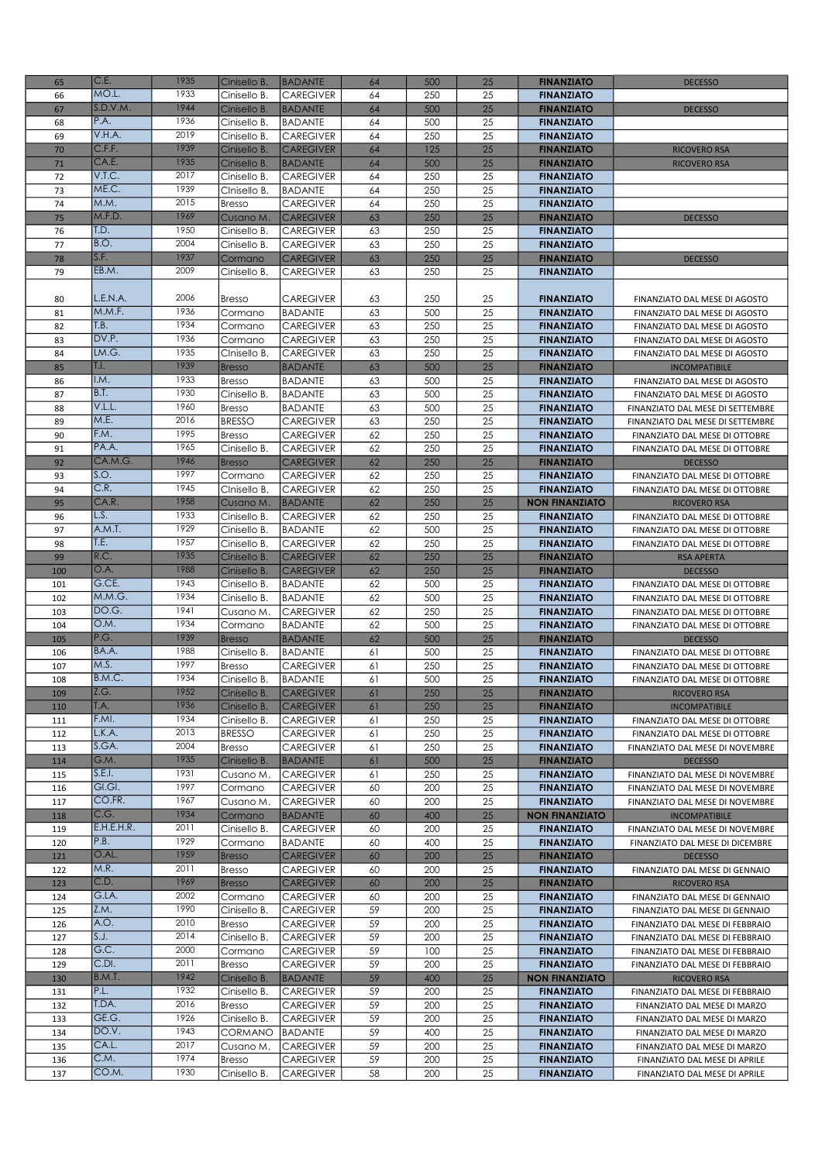| 65         | C.E.             | 1935         | Cinisello B.                   | <b>BADANTE</b>                       | 64       | 500        | 25       | <b>FINANZIATO</b>                          | <b>DECESSO</b>                                                     |
|------------|------------------|--------------|--------------------------------|--------------------------------------|----------|------------|----------|--------------------------------------------|--------------------------------------------------------------------|
| 66         | MO.L.            | 1933         | Cinisello B.                   | <b>CAREGIVER</b>                     | 64       | 250        | 25       | <b>FINANZIATO</b>                          |                                                                    |
| 67         | S.D.V.M.         | 1944         | Cinisello B.                   | <b>BADANTE</b>                       | 64       | 500        | 25       | <b>FINANZIATO</b>                          | <b>DECESSO</b>                                                     |
| 68         | P.A.<br>V.H.A.   | 1936<br>2019 | Cinisello B.                   | <b>BADANTE</b>                       | 64       | 500        | 25       | <b>FINANZIATO</b>                          |                                                                    |
| 69<br>70   | C.F.F.           | 1939         | Cinisello B.<br>Cinisello B.   | <b>CAREGIVER</b><br><b>CAREGIVER</b> | 64<br>64 | 250<br>125 | 25<br>25 | <b>FINANZIATO</b><br><b>FINANZIATO</b>     | <b>RICOVERO RSA</b>                                                |
| 71         | CA.E.            | 1935         | Cinisello B.                   | <b>BADANTE</b>                       | 64       | 500        | 25       | <b>FINANZIATO</b>                          | <b>RICOVERO RSA</b>                                                |
| 72         | V.T.C.           | 2017         | Cinisello B.                   | <b>CAREGIVER</b>                     | 64       | 250        | 25       | <b>FINANZIATO</b>                          |                                                                    |
| 73         | ME.C.            | 1939         | CInisello B.                   | <b>BADANTE</b>                       | 64       | 250        | 25       | <b>FINANZIATO</b>                          |                                                                    |
| 74         | M.M.             | 2015         | Bresso                         | CAREGIVER                            | 64       | 250        | 25       | <b>FINANZIATO</b>                          |                                                                    |
| 75         | M.F.D.           | 1969         | Cusano M.                      | <b>CAREGIVER</b>                     | 63       | 250        | 25       | <b>FINANZIATO</b>                          | <b>DECESSO</b>                                                     |
| 76         | T.D.<br>B.O.     | 1950<br>2004 | Cinisello B.                   | <b>CAREGIVER</b>                     | 63       | 250        | 25       | <b>FINANZIATO</b>                          |                                                                    |
| 77<br>78   | S.F.             | 1937         | Cinisello B.<br>Cormano        | <b>CAREGIVER</b><br><b>CAREGIVER</b> | 63<br>63 | 250<br>250 | 25<br>25 | <b>FINANZIATO</b><br><b>FINANZIATO</b>     | <b>DECESSO</b>                                                     |
| 79         | EB.M.            | 2009         | Cinisello B.                   | <b>CAREGIVER</b>                     | 63       | 250        | 25       | <b>FINANZIATO</b>                          |                                                                    |
|            |                  |              |                                |                                      |          |            |          |                                            |                                                                    |
| 80         | L.E.N.A.         | 2006         | <b>Bresso</b>                  | <b>CAREGIVER</b>                     | 63       | 250        | 25       | <b>FINANZIATO</b>                          | FINANZIATO DAL MESE DI AGOSTO                                      |
| 81         | M.M.F.           | 1936         | Cormano                        | <b>BADANTE</b>                       | 63       | 500        | 25       | <b>FINANZIATO</b>                          | FINANZIATO DAL MESE DI AGOSTO                                      |
| 82         | T.B.             | 1934         | Cormano                        | <b>CAREGIVER</b>                     | 63       | 250        | 25       | <b>FINANZIATO</b>                          | FINANZIATO DAL MESE DI AGOSTO                                      |
| 83         | DV.P.            | 1936<br>1935 | Cormano                        | <b>CAREGIVER</b>                     | 63       | 250        | 25       | <b>FINANZIATO</b>                          | FINANZIATO DAL MESE DI AGOSTO                                      |
| 84<br>85   | LM.G.<br>T.I.    | 1939         | CInisello B.                   | CAREGIVER<br><b>BADANTE</b>          | 63<br>63 | 250<br>500 | 25<br>25 | <b>FINANZIATO</b><br><b>FINANZIATO</b>     | FINANZIATO DAL MESE DI AGOSTO<br><b>INCOMPATIBILE</b>              |
| 86         | I.M.             | 1933         | <b>Bresso</b><br><b>Bresso</b> | <b>BADANTE</b>                       | 63       | 500        | 25       | <b>FINANZIATO</b>                          | FINANZIATO DAL MESE DI AGOSTO                                      |
| 87         | B.T.             | 1930         | Cinisello B.                   | <b>BADANTE</b>                       | 63       | 500        | 25       | <b>FINANZIATO</b>                          | FINANZIATO DAL MESE DI AGOSTO                                      |
| 88         | V.L.L.           | 1960         | <b>Bresso</b>                  | <b>BADANTE</b>                       | 63       | 500        | 25       | <b>FINANZIATO</b>                          | FINANZIATO DAL MESE DI SETTEMBRE                                   |
| 89         | M.E.             | 2016         | <b>BRESSO</b>                  | <b>CAREGIVER</b>                     | 63       | 250        | 25       | <b>FINANZIATO</b>                          | FINANZIATO DAL MESE DI SETTEMBRE                                   |
| 90         | F.M.             | 1995         | Bresso                         | <b>CAREGIVER</b>                     | 62       | 250        | 25       | <b>FINANZIATO</b>                          | FINANZIATO DAL MESE DI OTTOBRE                                     |
| 91         | PA.A.            | 1965<br>1946 | Cinisello B.                   | <b>CAREGIVER</b>                     | 62       | 250        | 25       | <b>FINANZIATO</b>                          | FINANZIATO DAL MESE DI OTTOBRE                                     |
| 92<br>93   | CA.M.G.<br> S.O. | 1997         | <b>Bresso</b><br>Cormano       | <b>CAREGIVER</b><br><b>CAREGIVER</b> | 62<br>62 | 250<br>250 | 25<br>25 | <b>FINANZIATO</b><br><b>FINANZIATO</b>     | <b>DECESSO</b><br>FINANZIATO DAL MESE DI OTTOBRE                   |
| 94         | C.R.             | 1945         | CInisello B.                   | <b>CAREGIVER</b>                     | 62       | 250        | 25       | <b>FINANZIATO</b>                          | FINANZIATO DAL MESE DI OTTOBRE                                     |
| 95         | CA.R.            | 1958         | Cusano M.                      | <b>BADANTE</b>                       | 62       | 250        | 25       | <b>NON FINANZIATO</b>                      | <b>RICOVERO RSA</b>                                                |
| 96         | L.S.             | 1933         | Cinisello B.                   | <b>CAREGIVER</b>                     | 62       | 250        | 25       | <b>FINANZIATO</b>                          | FINANZIATO DAL MESE DI OTTOBRE                                     |
| 97         | A.M.T.           | 1929         | Cinisello B.                   | <b>BADANTE</b>                       | 62       | 500        | 25       | <b>FINANZIATO</b>                          | FINANZIATO DAL MESE DI OTTOBRE                                     |
| 98         | T.E.             | 1957         | Cinisello B.                   | <b>CAREGIVER</b>                     | 62       | 250        | 25       | <b>FINANZIATO</b>                          | FINANZIATO DAL MESE DI OTTOBRE                                     |
| 99         | R.C.             | 1935<br>1988 | Cinisello B.                   | <b>CAREGIVER</b>                     | 62       | 250        | 25       | <b>FINANZIATO</b>                          | <b>RSA APERTA</b>                                                  |
| 100<br>101 | O.A.<br>G.CE.    | 1943         | Cinisello B.<br>Cinisello B.   | <b>CAREGIVER</b><br><b>BADANTE</b>   | 62<br>62 | 250<br>500 | 25<br>25 | <b>FINANZIATO</b><br><b>FINANZIATO</b>     | <b>DECESSO</b><br>FINANZIATO DAL MESE DI OTTOBRE                   |
| 102        | M.M.G.           | 1934         | Cinisello B.                   | <b>BADANTE</b>                       | 62       | 500        | 25       | <b>FINANZIATO</b>                          | FINANZIATO DAL MESE DI OTTOBRE                                     |
| 103        | DO.G.            | 1941         | Cusano M.                      | <b>CAREGIVER</b>                     | 62       | 250        | 25       | <b>FINANZIATO</b>                          | FINANZIATO DAL MESE DI OTTOBRE                                     |
| 104        | O.M.             | 1934         | Cormano                        | <b>BADANTE</b>                       | 62       | 500        | 25       | <b>FINANZIATO</b>                          | FINANZIATO DAL MESE DI OTTOBRE                                     |
| 105        | P.G.             | 1939         | Bresso                         | <b>BADANTE</b>                       | 62       | 500        | 25       | <b>FINANZIATO</b>                          | <b>DECESSO</b>                                                     |
| 106        | BA.A.            | 1988         | Cinisello B.                   | <b>BADANTE</b>                       | 61       | 500        | 25       | <b>FINANZIATO</b>                          | FINANZIATO DAL MESE DI OTTOBRE                                     |
| 107        | M.S.<br>B.M.C.   | 1997<br>1934 | <b>Bresso</b>                  | <b>CAREGIVER</b>                     | 61<br>61 | 250<br>500 | 25<br>25 | <b>FINANZIATO</b><br><b>FINANZIATO</b>     | FINANZIATO DAL MESE DI OTTOBRE                                     |
| 108<br>109 | Z.G.             | 1952         | Cinisello B.<br>Cinisello B.   | <b>BADANTE</b><br>CAREGIVER          | 61       | 250        | 25       | <b>FINANZIATO</b>                          | FINANZIATO DAL MESE DI OTTOBRE<br>RICOVERO RSA                     |
| 110        | T.A.             | 1936         | Cinisello B.                   | <b>CAREGIVER</b>                     | 61       | 250        | 25       | <b>FINANZIATO</b>                          | <b>INCOMPATIBILE</b>                                               |
| 111        | F.MI.            | 1934         | Cinisello B.                   | <b>CAREGIVER</b>                     | 61       | 250        | 25       | <b>FINANZIATO</b>                          | FINANZIATO DAL MESE DI OTTOBRE                                     |
| 112        | L.K.A.           | 2013         | <b>BRESSO</b>                  | <b>CAREGIVER</b>                     | 61       | 250        | 25       | <b>FINANZIATO</b>                          | FINANZIATO DAL MESE DI OTTOBRE                                     |
| 113        | S.GA.            | 2004         | <b>Bresso</b>                  | <b>CAREGIVER</b>                     | 61       | 250        | 25       | <b>FINANZIATO</b>                          | FINANZIATO DAL MESE DI NOVEMBRE                                    |
| 114        | G.M.<br>S.E.I.   | 1935<br>1931 | Cinisello B.                   | <b>BADANTE</b>                       | 61       | 500        | 25       | <b>FINANZIATO</b>                          | <b>DECESSO</b>                                                     |
| 115<br>116 | GI.GI.           | 1997         | Cusano M.<br>Cormano           | <b>CAREGIVER</b><br><b>CAREGIVER</b> | 61<br>60 | 250<br>200 | 25<br>25 | <b>FINANZIATO</b><br><b>FINANZIATO</b>     | FINANZIATO DAL MESE DI NOVEMBRE<br>FINANZIATO DAL MESE DI NOVEMBRE |
| 117        | CO.FR.           | 1967         | Cusano M.                      | <b>CAREGIVER</b>                     | 60       | 200        | 25       | <b>FINANZIATO</b>                          | FINANZIATO DAL MESE DI NOVEMBRE                                    |
| 118        | C.G.             | 1934         | Cormano                        | <b>BADANTE</b>                       | 60       | 400        | 25       | <b>NON FINANZIATO</b>                      | <b>INCOMPATIBILE</b>                                               |
| 119        | E.H.E.H.R.       | 2011         | Cinisello B.                   | <b>CAREGIVER</b>                     | 60       | 200        | 25       | <b>FINANZIATO</b>                          | FINANZIATO DAL MESE DI NOVEMBRE                                    |
| 120        | P.B.             | 1929         | Cormano                        | <b>BADANTE</b>                       | 60       | 400        | 25       | <b>FINANZIATO</b>                          | FINANZIATO DAL MESE DI DICEMBRE                                    |
| 121        | O.AL.            | 1959         | <b>Bresso</b>                  | <b>CAREGIVER</b>                     | 60       | 200        | 25       | <b>FINANZIATO</b>                          | <b>DECESSO</b>                                                     |
| 122<br>123 | M.R.<br>C.D.     | 2011<br>1969 | <b>Bresso</b><br><b>Bresso</b> | <b>CAREGIVER</b><br><b>CAREGIVER</b> | 60<br>60 | 200<br>200 | 25<br>25 | <b>FINANZIATO</b><br><b>FINANZIATO</b>     | FINANZIATO DAL MESE DI GENNAIO<br><b>RICOVERO RSA</b>              |
| 124        | G.LA.            | 2002         | Cormano                        | <b>CAREGIVER</b>                     | 60       | 200        | 25       | <b>FINANZIATO</b>                          | FINANZIATO DAL MESE DI GENNAIO                                     |
| 125        | Z.M.             | 1990         | Cinisello B.                   | <b>CAREGIVER</b>                     | 59       | 200        | 25       | <b>FINANZIATO</b>                          | FINANZIATO DAL MESE DI GENNAIO                                     |
| 126        | A.O.             | 2010         | Bresso                         | <b>CAREGIVER</b>                     | 59       | 200        | 25       | <b>FINANZIATO</b>                          | FINANZIATO DAL MESE DI FEBBRAIO                                    |
| 127        | S.J.             | 2014         | Cinisello B.                   | <b>CAREGIVER</b>                     | 59       | 200        | 25       | <b>FINANZIATO</b>                          | FINANZIATO DAL MESE DI FEBBRAIO                                    |
| 128        | G.C.             | 2000         | Cormano                        | <b>CAREGIVER</b>                     | 59       | 100        | 25       | <b>FINANZIATO</b>                          | FINANZIATO DAL MESE DI FEBBRAIO                                    |
| 129        | C.D.             | 2011<br>1942 | Bresso                         | <b>CAREGIVER</b>                     | 59       | 200        | 25       | <b>FINANZIATO</b>                          | FINANZIATO DAL MESE DI FEBBRAIO                                    |
| 130<br>131 | B.M.T.<br>P.L.   | 1932         | Cinisello B.<br>Cinisello B.   | <b>BADANTE</b><br><b>CAREGIVER</b>   | 59<br>59 | 400<br>200 | 25<br>25 | <b>NON FINANZIATO</b><br><b>FINANZIATO</b> | <b>RICOVERO RSA</b><br>FINANZIATO DAL MESE DI FEBBRAIO             |
| 132        | T.DA.            | 2016         | <b>Bresso</b>                  | <b>CAREGIVER</b>                     | 59       | 200        | 25       | <b>FINANZIATO</b>                          | FINANZIATO DAL MESE DI MARZO                                       |
| 133        | GE.G.            | 1926         | Cinisello B.                   | <b>CAREGIVER</b>                     | 59       | 200        | 25       | <b>FINANZIATO</b>                          | FINANZIATO DAL MESE DI MARZO                                       |
| 134        | DO.V.            | 1943         | CORMANO                        | <b>BADANTE</b>                       | 59       | 400        | 25       | <b>FINANZIATO</b>                          | FINANZIATO DAL MESE DI MARZO                                       |
| 135        | CA.L.            | 2017         | Cusano M.                      | <b>CAREGIVER</b>                     | 59       | 200        | 25       | <b>FINANZIATO</b>                          | FINANZIATO DAL MESE DI MARZO                                       |
| 136        | C.M.             | 1974         | <b>Bresso</b>                  | <b>CAREGIVER</b>                     | 59       | 200        | 25       | <b>FINANZIATO</b>                          | FINANZIATO DAL MESE DI APRILE                                      |
| 137        | CO.M.            | 1930         | Cinisello B.                   | CAREGIVER                            | 58       | 200        | 25       | <b>FINANZIATO</b>                          | FINANZIATO DAL MESE DI APRILE                                      |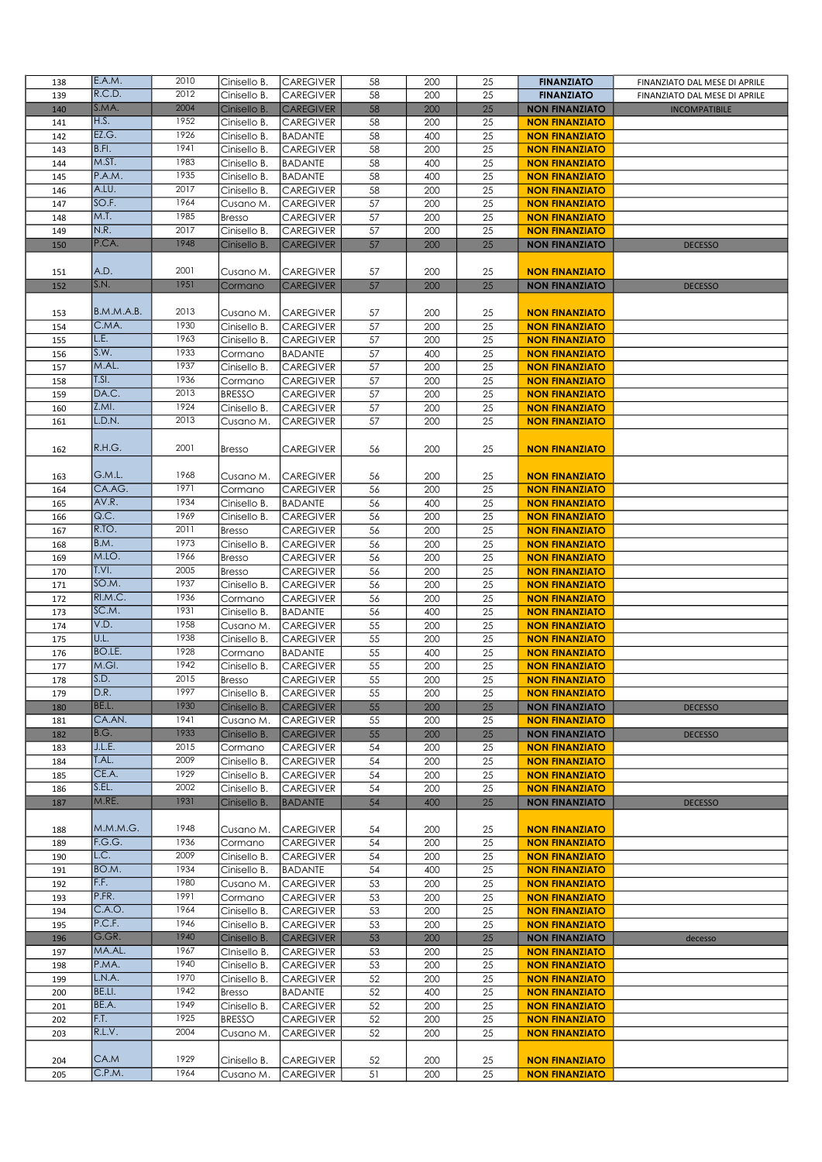| 138        | E.A.M.         | 2010         | Cinisello B.                   | <b>CAREGIVER</b>                     | 58       | 200        | 25       | <b>FINANZIATO</b>                              | FINANZIATO DAL MESE DI APRILE |
|------------|----------------|--------------|--------------------------------|--------------------------------------|----------|------------|----------|------------------------------------------------|-------------------------------|
| 139        | R.C.D.         | 2012         | Cinisello B.                   | <b>CAREGIVER</b>                     | 58       | 200        | 25       | <b>FINANZIATO</b>                              | FINANZIATO DAL MESE DI APRILE |
| 140        | S.MA.          | 2004         | Cinisello B.                   | <b>CAREGIVER</b>                     | 58       | 200        | 25       | <b>NON FINANZIATO</b>                          | <b>INCOMPATIBILE</b>          |
| 141        | H.S.           | 1952         | Cinisello B.                   | <b>CAREGIVER</b>                     | 58       | 200        | 25       | <b>NON FINANZIATO</b>                          |                               |
| 142        | EZ.G.          | 1926         | Cinisello B.                   | <b>BADANTE</b>                       | 58       | 400        | 25       | <b>NON FINANZIATO</b>                          |                               |
| 143        | B.FI.          | 1941         | Cinisello B.                   | <b>CAREGIVER</b>                     | 58       | 200        | 25       | <b>NON FINANZIATO</b>                          |                               |
| 144        | M.ST.          | 1983         | Cinisello B.                   | <b>BADANTE</b>                       | 58       | 400        | 25       | <b>NON FINANZIATO</b>                          |                               |
| 145        | P.A.M.         | 1935         | Cinisello B.                   | <b>BADANTE</b>                       | 58       | 400        | 25       | <b>NON FINANZIATO</b>                          |                               |
| 146        | A.LU.          | 2017         | Cinisello B.                   | <b>CAREGIVER</b>                     | 58       | 200        | 25       | <b>NON FINANZIATO</b>                          |                               |
| 147        | SO.F.          | 1964         | Cusano M.                      | <b>CAREGIVER</b>                     | 57       | 200        | 25       | <b>NON FINANZIATO</b>                          |                               |
| 148        | M.T.<br>N.R.   | 1985<br>2017 | <b>Bresso</b>                  | <b>CAREGIVER</b>                     | 57       | 200        | 25       | <b>NON FINANZIATO</b>                          |                               |
| 149        | P.CA.          | 1948         | Cinisello B.                   | <b>CAREGIVER</b><br><b>CAREGIVER</b> | 57       | 200        | 25<br>25 | <b>NON FINANZIATO</b>                          |                               |
| 150        |                |              | Cinisello B.                   |                                      | 57       | 200        |          | <b>NON FINANZIATO</b>                          | <b>DECESSO</b>                |
| 151        | A.D.           | 2001         | Cusano M.                      | <b>CAREGIVER</b>                     | 57       | 200        | 25       | <b>NON FINANZIATO</b>                          |                               |
| 152        | S.N.           | 1951         | Cormano                        | <b>CAREGIVER</b>                     | 57       | 200        | 25       | <b>NON FINANZIATO</b>                          | <b>DECESSO</b>                |
|            |                |              |                                |                                      |          |            |          |                                                |                               |
| 153        | B.M.M.A.B.     | 2013         | Cusano M.                      | <b>CAREGIVER</b>                     | 57       | 200        | 25       | <b>NON FINANZIATO</b>                          |                               |
| 154        | C.MA.          | 1930         | Cinisello B.                   | <b>CAREGIVER</b>                     | 57       | 200        | 25       | <b>NON FINANZIATO</b>                          |                               |
| 155        | L.E.           | 1963         | Cinisello B.                   | <b>CAREGIVER</b>                     | 57       | 200        | 25       | <b>NON FINANZIATO</b>                          |                               |
| 156        | S.W.           | 1933         | Cormano                        | <b>BADANTE</b>                       | 57       | 400        | 25       | <b>NON FINANZIATO</b>                          |                               |
| 157        | M.AL.          | 1937         | Cinisello B.                   | <b>CAREGIVER</b>                     | 57       | 200        | 25       | <b>NON FINANZIATO</b>                          |                               |
| 158        | T.S.           | 1936         | Cormano                        | <b>CAREGIVER</b>                     | 57       | 200        | 25       | <b>NON FINANZIATO</b>                          |                               |
| 159        | DA.C.          | 2013         | <b>BRESSO</b>                  | <b>CAREGIVER</b>                     | 57       | 200        | 25       | <b>NON FINANZIATO</b>                          |                               |
| 160        | Z.MI.          | 1924         | Cinisello B.                   | <b>CAREGIVER</b>                     | 57       | 200        | 25       | <b>NON FINANZIATO</b>                          |                               |
| 161        | L.D.N.         | 2013         | Cusano M.                      | <b>CAREGIVER</b>                     | 57       | 200        | 25       | <b>NON FINANZIATO</b>                          |                               |
|            |                |              |                                |                                      |          |            |          |                                                |                               |
| 162        | R.H.G.         | 2001         | <b>Bresso</b>                  | <b>CAREGIVER</b>                     | 56       | 200        | 25       | <b>NON FINANZIATO</b>                          |                               |
|            |                |              |                                |                                      |          |            |          |                                                |                               |
| 163        | G.M.L.         | 1968         | Cusano M.                      | <b>CAREGIVER</b>                     | 56       | 200        | 25       | <b>NON FINANZIATO</b>                          |                               |
| 164        | CA.AG.         | 1971         | Cormano                        | <b>CAREGIVER</b>                     | 56       | 200        | 25       | <b>NON FINANZIATO</b>                          |                               |
| 165        | AV.R.          | 1934         | Cinisello B.                   | <b>BADANTE</b>                       | 56       | 400        | 25       | <b>NON FINANZIATO</b>                          |                               |
| 166        | Q.C.           | 1969         | Cinisello B.                   | <b>CAREGIVER</b>                     | 56       | 200        | 25       | <b>NON FINANZIATO</b>                          |                               |
| 167        | R.TO.<br>B.M.  | 2011<br>1973 | <b>Bresso</b>                  | <b>CAREGIVER</b>                     | 56       | 200        | 25       | <b>NON FINANZIATO</b>                          |                               |
| 168        | M.LO.          | 1966         | Cinisello B.                   | <b>CAREGIVER</b>                     | 56       | 200<br>200 | 25<br>25 | <b>NON FINANZIATO</b>                          |                               |
| 169<br>170 | T.VI.          | 2005         | <b>Bresso</b><br><b>Bresso</b> | <b>CAREGIVER</b><br><b>CAREGIVER</b> | 56<br>56 | 200        | 25       | <b>NON FINANZIATO</b><br><b>NON FINANZIATO</b> |                               |
| 171        | SO.M.          | 1937         | Cinisello B.                   | <b>CAREGIVER</b>                     | 56       | 200        | 25       | <b>NON FINANZIATO</b>                          |                               |
| 172        | RI.M.C.        | 1936         | Cormano                        | <b>CAREGIVER</b>                     | 56       | 200        | 25       | <b>NON FINANZIATO</b>                          |                               |
| 173        | SC.M.          | 1931         | Cinisello B.                   | <b>BADANTE</b>                       | 56       | 400        | 25       | <b>NON FINANZIATO</b>                          |                               |
| 174        | V.D.           | 1958         | Cusano M.                      | <b>CAREGIVER</b>                     | 55       | 200        | 25       | <b>NON FINANZIATO</b>                          |                               |
| 175        | U.L.           | 1938         | Cinisello B.                   | <b>CAREGIVER</b>                     | 55       | 200        | 25       | <b>NON FINANZIATO</b>                          |                               |
| 176        | BO.LE.         | 1928         | Cormano                        | <b>BADANTE</b>                       | 55       | 400        | 25       | <b>NON FINANZIATO</b>                          |                               |
| 177        | M.GI.          | 1942         | Cinisello B.                   | <b>CAREGIVER</b>                     | 55       | 200        | 25       | <b>NON FINANZIATO</b>                          |                               |
| 178        | S.D.           | 2015         | <b>Bresso</b>                  | <b>CAREGIVER</b>                     | 55       | 200        | 25       | <b>NON FINANZIATO</b>                          |                               |
| 179        | D.R.           | 1997         | Cinisello B.                   | CAREGIVER                            | 55       | $200\,$    | 25       | <b>NON FINANZIATO</b>                          |                               |
| 180        | BE.L.          | 1930         | Cinisello B.                   | <b>CAREGIVER</b>                     | 55       | 200        | 25       | <b>NON FINANZIATO</b>                          | <b>DECESSO</b>                |
| 181        | CA.AN.         | 1941         | Cusano M.                      | <b>CAREGIVER</b>                     | 55       | 200        | 25       | <b>NON FINANZIATO</b>                          |                               |
| 182        | B.G.           | 1933         | Cinisello B.                   | <b>CAREGIVER</b>                     | 55       | 200        | 25       | <b>NON FINANZIATO</b>                          | <b>DECESSO</b>                |
| 183        | J.L.E.         | 2015         | Cormano                        | <b>CAREGIVER</b>                     | 54       | 200        | 25       | <b>NON FINANZIATO</b>                          |                               |
| 184        | T.AL.          | 2009         | Cinisello B.                   | <b>CAREGIVER</b>                     | 54       | 200        | 25       | <b>NON FINANZIATO</b>                          |                               |
| 185        | CE.A.          | 1929         | Cinisello B.                   | <b>CAREGIVER</b>                     | 54       | 200        | 25       | <b>NON FINANZIATO</b>                          |                               |
| 186        | S.EL.<br>M.RE. | 2002<br>1931 | Cinisello B.                   | <b>CAREGIVER</b>                     | 54       | 200        | 25       | <b>NON FINANZIATO</b>                          |                               |
| 187        |                |              | Cinisello B.                   | <b>BADANTE</b>                       | 54       | 400        | 25       | <b>NON FINANZIATO</b>                          | <b>DECESSO</b>                |
| 188        | M.M.M.G.       | 1948         | Cusano M.                      | <b>CAREGIVER</b>                     | 54       | 200        | 25       | <b>NON FINANZIATO</b>                          |                               |
| 189        | F.G.G.         | 1936         | Cormano                        | <b>CAREGIVER</b>                     | 54       | 200        | 25       | <b>NON FINANZIATO</b>                          |                               |
| 190        | L.C.           | 2009         | Cinisello B.                   | <b>CAREGIVER</b>                     | 54       | 200        | 25       | <b>NON FINANZIATO</b>                          |                               |
| 191        | BO.M.          | 1934         | Cinisello B.                   | <b>BADANTE</b>                       | 54       | 400        | 25       | <b>NON FINANZIATO</b>                          |                               |
| 192        | F.F.           | 1980         | Cusano M.                      | <b>CAREGIVER</b>                     | 53       | 200        | 25       | <b>NON FINANZIATO</b>                          |                               |
| 193        | P.FR.          | 1991         | Cormano                        | <b>CAREGIVER</b>                     | 53       | 200        | 25       | <b>NON FINANZIATO</b>                          |                               |
| 194        | C.A.O.         | 1964         | Cinisello B.                   | <b>CAREGIVER</b>                     | 53       | 200        | 25       | <b>NON FINANZIATO</b>                          |                               |
| 195        | P.C.F.         | 1946         | Cinisello B.                   | <b>CAREGIVER</b>                     | 53       | 200        | 25       | <b>NON FINANZIATO</b>                          |                               |
| 196        | G.GR.          | 1940         | Cinisello B.                   | <b>CAREGIVER</b>                     | 53       | 200        | 25       | <b>NON FINANZIATO</b>                          | decesso                       |
| 197        | MA.AL.         | 1967         | Cinisello B.                   | <b>CAREGIVER</b>                     | 53       | 200        | 25       | <b>NON FINANZIATO</b>                          |                               |
| 198        | P.MA.          | 1940         | Cinisello B.                   | <b>CAREGIVER</b>                     | 53       | 200        | 25       | <b>NON FINANZIATO</b>                          |                               |
| 199        | L.N.A.         | 1970         | Cinisello B.                   | <b>CAREGIVER</b>                     | 52       | 200        | 25       | <b>NON FINANZIATO</b>                          |                               |
| 200        | BE.LI.         | 1942         | Bresso                         | <b>BADANTE</b>                       | 52       | 400        | 25       | <b>NON FINANZIATO</b>                          |                               |
| 201        | BE.A.          | 1949         | Cinisello B.                   | <b>CAREGIVER</b>                     | 52       | 200        | 25       | <b>NON FINANZIATO</b>                          |                               |
| 202        | F.T.           | 1925         | <b>BRESSO</b>                  | <b>CAREGIVER</b>                     | 52       | 200        | 25       | <b>NON FINANZIATO</b>                          |                               |
| 203        | R.L.V.         | 2004         | Cusano M.                      | <b>CAREGIVER</b>                     | 52       | 200        | 25       | <b>NON FINANZIATO</b>                          |                               |
|            | CA.M           | 1929         |                                |                                      |          |            |          |                                                |                               |
| 204        | C.P.M.         | 1964         | Cinisello B.                   | <b>CAREGIVER</b>                     | 52       | 200        | 25       | <b>NON FINANZIATO</b>                          |                               |
| 205        |                |              | Cusano M.                      | <b>CAREGIVER</b>                     | 51       | 200        | 25       | <b>NON FINANZIATO</b>                          |                               |